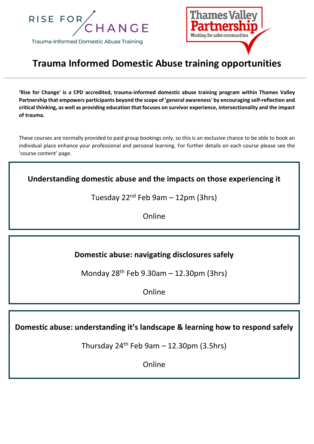



# **Trauma Informed Domestic Abuse training opportunities**

**'Rise for Change' is a CPD accredited, trauma-informed domestic abuse training program within Thames Valley Partnership that empowers participants beyond the scope of 'general awareness' by encouraging self-reflection and critical thinking, as well as providing education that focuses on survivor experience, intersectionality and the impact of trauma.** 

These courses are normally provided to paid group bookings only, so this is an exclusive chance to be able to book an individual place enhance your professional and personal learning. For further details on each course please see the 'course content' page.

**Understanding domestic abuse and the impacts on those experiencing it**

Tuesday  $22^{nd}$  Feb 9am – 12pm (3hrs)

Online

## **Domestic abuse: navigating disclosures safely**

Monday 28th Feb 9.30am – 12.30pm (3hrs)

Online

**Domestic abuse: understanding it's landscape & learning how to respond safely**

Thursday  $24<sup>th</sup>$  Feb 9am – 12.30pm (3.5hrs)

Online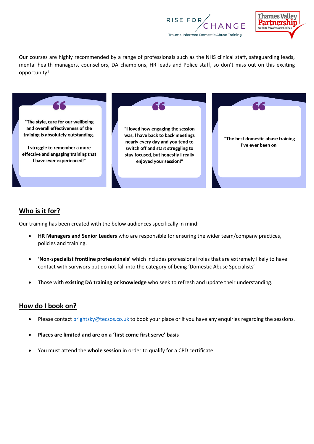



Our courses are highly recommended by a range of professionals such as the NHS clinical staff, safeguarding leads, mental health managers, counsellors, DA champions, HR leads and Police staff, so don't miss out on this exciting opportunity!



#### **Who is it for?**

Our training has been created with the below audiences specifically in mind:

- **HR Managers and Senior Leaders** who are responsible for ensuring the wider team/company practices, policies and training.
- **'Non-specialist frontline professionals'** which includes professional roles that are extremely likely to have contact with survivors but do not fall into the category of being 'Domestic Abuse Specialists'
- Those with **existing DA training or knowledge** who seek to refresh and update their understanding.

#### **How do I book on?**

- Please contact [brightsky@tecsos.co.uk](mailto:brightsky@tecsos.co.uk) to book your place or if you have any enquiries regarding the sessions.
- **Places are limited and are on a 'first come first serve' basis**
- You must attend the **whole session** in order to qualify for a CPD certificate